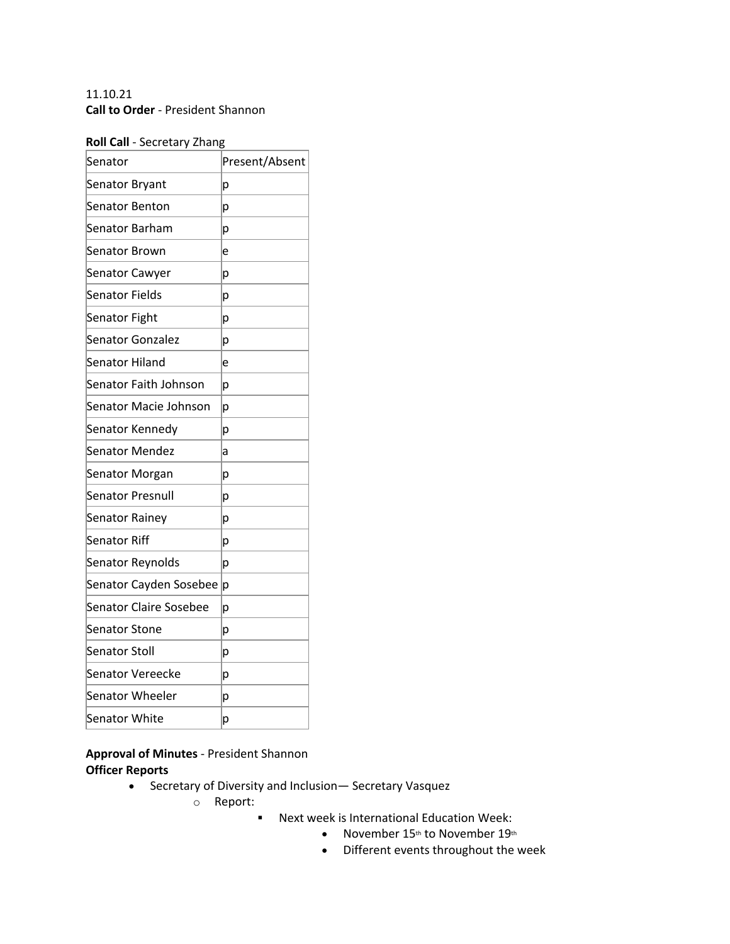# 11.10.21 **Call to Order** - President Shannon

## **Roll Call** - Secretary Zhang

| Senator                       | Present/Absent |
|-------------------------------|----------------|
| Senator Bryant                | p              |
| <b>Senator Benton</b>         | р              |
| Senator Barham                | р              |
| <b>Senator Brown</b>          | e              |
| Senator Cawyer                | р              |
| <b>Senator Fields</b>         | р              |
| Senator Fight                 | р              |
| Senator Gonzalez              | р              |
| Senator Hiland                | e              |
| Senator Faith Johnson         | р              |
| Senator Macie Johnson         | р              |
| Senator Kennedy               | р              |
| Senator Mendez                | a              |
| Senator Morgan                | р              |
| <b>Senator Presnull</b>       | р              |
| Senator Rainey                | р              |
| Senator Riff                  | р              |
| Senator Reynolds              | р              |
| Senator Cayden Sosebee        | p              |
| <b>Senator Claire Sosebee</b> | р              |
| Senator Stone                 | р              |
| Senator Stoll                 | р              |
| Senator Vereecke              | p              |
| Senator Wheeler               | р              |
| Senator White                 | p              |

**Approval of Minutes** - President Shannon **Officer Reports**

- Secretary of Diversity and Inclusion— Secretary Vasquez
	- o Report:
		- Next week is International Education Week:
			- November 15th to November 19th
			- Different events throughout the week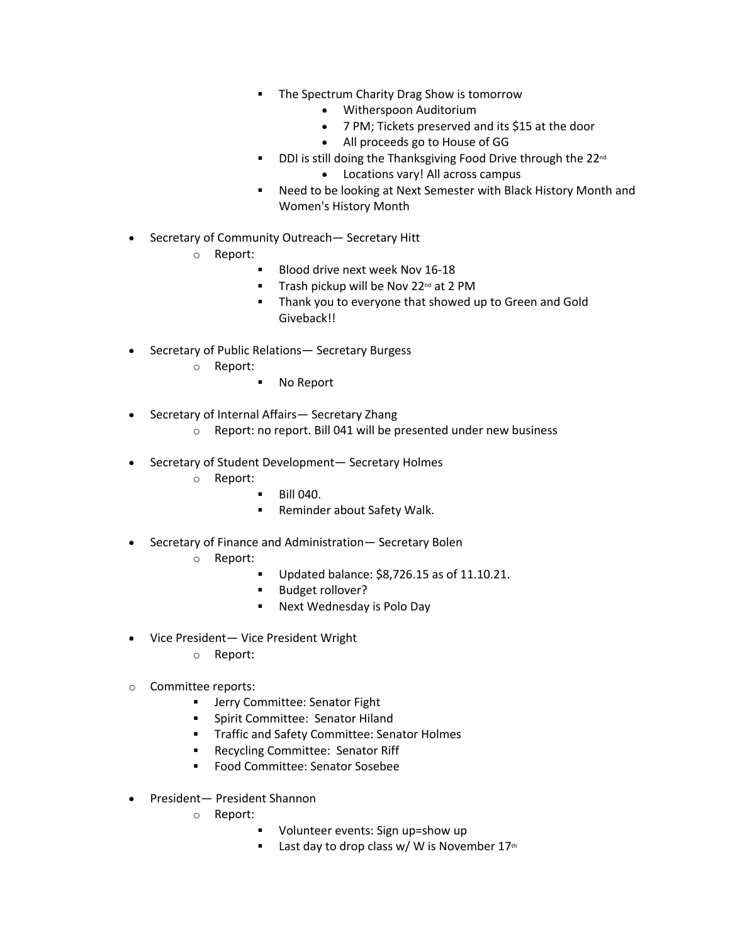- **The Spectrum Charity Drag Show is tomorrow** 
	- Witherspoon Auditorium
	- 7 PM; Tickets preserved and its \$15 at the door
	- All proceeds go to House of GG
- DDI is still doing the Thanksgiving Food Drive through the 22<sup>nd</sup> • Locations vary! All across campus
- Need to be looking at Next Semester with Black History Month and Women's History Month
- Secretary of Community Outreach— Secretary Hitt
	- o Report:
		- § Blood drive next week Nov 16-18
		- Trash pickup will be Nov 22<sup>nd</sup> at 2 PM
		- § Thank you to everyone that showed up to Green and Gold Giveback!!
- Secretary of Public Relations— Secretary Burgess
	- o Report:
		- § No Report
- Secretary of Internal Affairs— Secretary Zhang
	- o Report: no report. Bill 041 will be presented under new business
- Secretary of Student Development— Secretary Holmes
	- o Report:
- § Bill 040.
- Reminder about Safety Walk.
- Secretary of Finance and Administration— Secretary Bolen
	- o Report:
		- Updated balance: \$8,726.15 as of 11.10.21.
		- § Budget rollover?
		- Next Wednesday is Polo Day
- Vice President— Vice President Wright
	- o Report:
- o Committee reports:
	- **■** Jerry Committee: Senator Fight
	- § Spirit Committee: Senator Hiland
	- § Traffic and Safety Committee: Senator Holmes
	- Recycling Committee: Senator Riff
	- Food Committee: Senator Sosebee
- President— President Shannon
	- o Report:
		- § Volunteer events: Sign up=show up
		- **EXECUTE:** Last day to drop class w/ W is November  $17<sup>th</sup>$